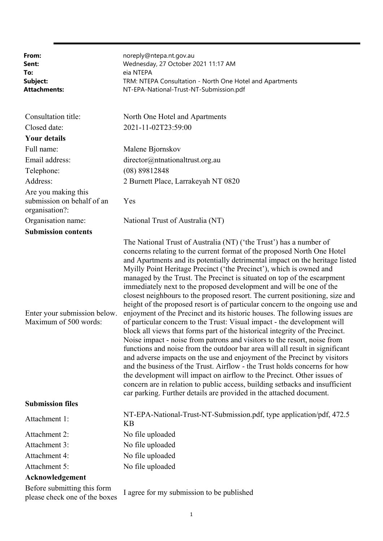| From:<br>Sent:<br>To:<br>Subject:<br><b>Attachments:</b>            | noreply@ntepa.nt.gov.au<br>Wednesday, 27 October 2021 11:17 AM<br>eia NTEPA<br>TRM: NTEPA Consultation - North One Hotel and Apartments<br>NT-EPA-National-Trust-NT-Submission.pdf                                                                                                                                                                                                                                                                                                                                                                                                                                                                                                                                                                                                                                                                                                                                                                                                                                                                                                                                                                                                                                                                                                                                                                                                                                        |
|---------------------------------------------------------------------|---------------------------------------------------------------------------------------------------------------------------------------------------------------------------------------------------------------------------------------------------------------------------------------------------------------------------------------------------------------------------------------------------------------------------------------------------------------------------------------------------------------------------------------------------------------------------------------------------------------------------------------------------------------------------------------------------------------------------------------------------------------------------------------------------------------------------------------------------------------------------------------------------------------------------------------------------------------------------------------------------------------------------------------------------------------------------------------------------------------------------------------------------------------------------------------------------------------------------------------------------------------------------------------------------------------------------------------------------------------------------------------------------------------------------|
| Consultation title:                                                 | North One Hotel and Apartments                                                                                                                                                                                                                                                                                                                                                                                                                                                                                                                                                                                                                                                                                                                                                                                                                                                                                                                                                                                                                                                                                                                                                                                                                                                                                                                                                                                            |
| Closed date:                                                        | 2021-11-02T23:59:00                                                                                                                                                                                                                                                                                                                                                                                                                                                                                                                                                                                                                                                                                                                                                                                                                                                                                                                                                                                                                                                                                                                                                                                                                                                                                                                                                                                                       |
| <b>Your details</b>                                                 |                                                                                                                                                                                                                                                                                                                                                                                                                                                                                                                                                                                                                                                                                                                                                                                                                                                                                                                                                                                                                                                                                                                                                                                                                                                                                                                                                                                                                           |
| Full name:                                                          | Malene Bjornskov                                                                                                                                                                                                                                                                                                                                                                                                                                                                                                                                                                                                                                                                                                                                                                                                                                                                                                                                                                                                                                                                                                                                                                                                                                                                                                                                                                                                          |
| Email address:                                                      | director@ntnationaltrust.org.au                                                                                                                                                                                                                                                                                                                                                                                                                                                                                                                                                                                                                                                                                                                                                                                                                                                                                                                                                                                                                                                                                                                                                                                                                                                                                                                                                                                           |
| Telephone:                                                          | (08) 89812848                                                                                                                                                                                                                                                                                                                                                                                                                                                                                                                                                                                                                                                                                                                                                                                                                                                                                                                                                                                                                                                                                                                                                                                                                                                                                                                                                                                                             |
| Address:                                                            | 2 Burnett Place, Larrakeyah NT 0820                                                                                                                                                                                                                                                                                                                                                                                                                                                                                                                                                                                                                                                                                                                                                                                                                                                                                                                                                                                                                                                                                                                                                                                                                                                                                                                                                                                       |
| Are you making this<br>submission on behalf of an<br>organisation?: | Yes                                                                                                                                                                                                                                                                                                                                                                                                                                                                                                                                                                                                                                                                                                                                                                                                                                                                                                                                                                                                                                                                                                                                                                                                                                                                                                                                                                                                                       |
| Organisation name:                                                  | National Trust of Australia (NT)                                                                                                                                                                                                                                                                                                                                                                                                                                                                                                                                                                                                                                                                                                                                                                                                                                                                                                                                                                                                                                                                                                                                                                                                                                                                                                                                                                                          |
| <b>Submission contents</b>                                          |                                                                                                                                                                                                                                                                                                                                                                                                                                                                                                                                                                                                                                                                                                                                                                                                                                                                                                                                                                                                                                                                                                                                                                                                                                                                                                                                                                                                                           |
| Enter your submission below.<br>Maximum of 500 words:               | The National Trust of Australia (NT) ('the Trust') has a number of<br>concerns relating to the current format of the proposed North One Hotel<br>and Apartments and its potentially detrimental impact on the heritage listed<br>Myilly Point Heritage Precinct ('the Precinct'), which is owned and<br>managed by the Trust. The Precinct is situated on top of the escarpment<br>immediately next to the proposed development and will be one of the<br>closest neighbours to the proposed resort. The current positioning, size and<br>height of the proposed resort is of particular concern to the ongoing use and<br>enjoyment of the Precinct and its historic houses. The following issues are<br>of particular concern to the Trust: Visual impact - the development will<br>block all views that forms part of the historical integrity of the Precinct.<br>Noise impact - noise from patrons and visitors to the resort, noise from<br>functions and noise from the outdoor bar area will all result in significant<br>and adverse impacts on the use and enjoyment of the Precinct by visitors<br>and the business of the Trust. Airflow - the Trust holds concerns for how<br>the development will impact on airflow to the Precinct. Other issues of<br>concern are in relation to public access, building setbacks and insufficient<br>car parking. Further details are provided in the attached document. |
| <b>Submission files</b>                                             |                                                                                                                                                                                                                                                                                                                                                                                                                                                                                                                                                                                                                                                                                                                                                                                                                                                                                                                                                                                                                                                                                                                                                                                                                                                                                                                                                                                                                           |
| Attachment 1:                                                       | NT-EPA-National-Trust-NT-Submission.pdf, type application/pdf, 472.5<br><b>KB</b>                                                                                                                                                                                                                                                                                                                                                                                                                                                                                                                                                                                                                                                                                                                                                                                                                                                                                                                                                                                                                                                                                                                                                                                                                                                                                                                                         |
| Attachment 2:                                                       | No file uploaded                                                                                                                                                                                                                                                                                                                                                                                                                                                                                                                                                                                                                                                                                                                                                                                                                                                                                                                                                                                                                                                                                                                                                                                                                                                                                                                                                                                                          |
| Attachment 3:                                                       | No file uploaded                                                                                                                                                                                                                                                                                                                                                                                                                                                                                                                                                                                                                                                                                                                                                                                                                                                                                                                                                                                                                                                                                                                                                                                                                                                                                                                                                                                                          |
| Attachment 4:                                                       | No file uploaded                                                                                                                                                                                                                                                                                                                                                                                                                                                                                                                                                                                                                                                                                                                                                                                                                                                                                                                                                                                                                                                                                                                                                                                                                                                                                                                                                                                                          |
| Attachment 5:                                                       | No file uploaded                                                                                                                                                                                                                                                                                                                                                                                                                                                                                                                                                                                                                                                                                                                                                                                                                                                                                                                                                                                                                                                                                                                                                                                                                                                                                                                                                                                                          |
| Acknowledgement                                                     |                                                                                                                                                                                                                                                                                                                                                                                                                                                                                                                                                                                                                                                                                                                                                                                                                                                                                                                                                                                                                                                                                                                                                                                                                                                                                                                                                                                                                           |
| Before submitting this form<br>please check one of the boxes        | I agree for my submission to be published                                                                                                                                                                                                                                                                                                                                                                                                                                                                                                                                                                                                                                                                                                                                                                                                                                                                                                                                                                                                                                                                                                                                                                                                                                                                                                                                                                                 |

1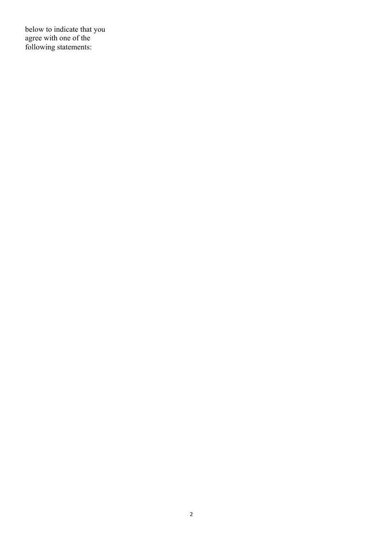below to indicate that you agree with one of the following statements: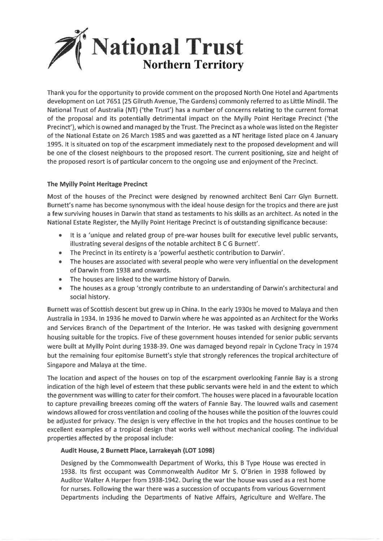

Thank you for the opportunity to provide comment on the proposed North One Hotel and Apartments development on Lot 7651 (25 Gilruth Avenue, The Gardens) commonly referred to as Little Mindil. The National Trust of Australia (NT) ('the Trust') has a number of concerns relating to the current format of the proposal and its potentially detrimental impact on the Myilly Point Heritage Precinct ('the Precinct'), which is owned and managed by the Trust. The Precinct as a whole was listed on the Register of the National Estate on 26 March 1985 and was gazetted as a NT heritage listed place on 4 January 1995. It is situated on top of the escarpment immediately next to the proposed development and will be one of the closest neighbours to the proposed resort. The current positioning, size and height of the proposed resort is of particular concern to the ongoing use and enjoyment of the Precinct.

# The Myilly Point Heritage Precinct

Most of the houses of the Precinct were designed by renowned architect Beni Carr Glyn Burnett. Burnett's name has become synonymous with the ideal house design for the tropics and there are just a few surviving houses in Darwin that stand as testaments to his skills as an architect. As noted in the National Estate Register, the Myilly Point Heritage Precinct is of outstanding significance because:

- It is a 'unique and related group of pre-war houses built for executive level public servants,  $\bullet$ illustrating several designs of the notable architect B C G Burnett'.
- The Precinct in its entirety is a 'powerful aesthetic contribution to Darwin'.  $\bullet$
- The houses are associated with several people who were very influential on the development  $\bullet$ of Darwin from 1938 and onwards.
- The houses are linked to the wartime history of Darwin.  $\bullet$
- The houses as a group 'strongly contribute to an understanding of Darwin's architectural and social history.

Burnett was of Scottish descent but grew up in China. In the early 1930s he moved to Malaya and then Australia in 1934. In 1936 he moved to Darwin where he was appointed as an Architect for the Works and Services Branch of the Department of the Interior. He was tasked with designing government housing suitable for the tropics. Five of these government houses intended for senior public servants were built at Myilly Point during 1938-39. One was damaged beyond repair in Cyclone Tracy in 1974 but the remaining four epitomise Burnett's style that strongly references the tropical architecture of Singapore and Malaya at the time.

The location and aspect of the houses on top of the escarpment overlooking Fannie Bay is a strong indication of the high level of esteem that these public servants were held in and the extent to which the government was willing to cater for their comfort. The houses were placed in a favourable location to capture prevailing breezes coming off the waters of Fannie Bay. The louvred walls and casement windows allowed for cross ventilation and cooling of the houses while the position of the louvres could be adjusted for privacy. The design is very effective in the hot tropics and the houses continue to be excellent examples of a tropical design that works well without mechanical cooling. The individual properties affected by the proposal include:

## Audit House, 2 Burnett Place, Larrakeyah (LOT 1098)

Designed by the Commonwealth Department of Works, this B Type House was erected in 1938. Its first occupant was Commonwealth Auditor Mr S. O'Brien in 1938 followed by Auditor Walter A Harper from 1938-1942. During the war the house was used as a rest home for nurses. Following the war there was a succession of occupants from various Government Departments including the Departments of Native Affairs, Agriculture and Welfare. The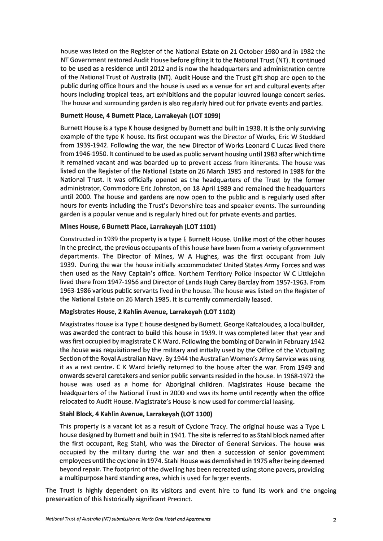house was listed on the Register of the National Estate on 21 October 1980 and in 1982 the NT Government restored Audit House before gifting it to the National Trust (NT). It continued to be used as a residence until 2012 and is now the headquarters and administration centre of the National Trust of Australia (NT). Audit House and the Trust gift shop are open to the public during office hours and the house is used as a venue for art and cultural events after hours including tropical teas, art exhibitions and the popular louvred lounge concert series. The house and surrounding garden is also regularly hired out for private events and parties.

# Burnett House, 4 Burnett Place, Larrakeyah (LOT 1099)

Burnett House is a type K house designed by Burnett and built in 1938, It is the only surviving example of the type K house. Its first occupant was the Director of Works, Eric W Stoddard from 1939-1942. Following the war, the new Director of Works Leonard C Lucas lived there from 1946-1950. It continued to be used as public servant housing until 1983 after which time it remained vacant and was boarded up to prevent access from itinerants. The house was listed on the Register of the National Estate on 26 March 1985 and restored in 1988 for the National Trust. It was officially opened as the headquarters of the Trust by the former administrator, Commodore Eric Johnston, on 18 April 1989 and remained the headquarters until 2000. The house and gardens are now open to the public and is regularly used after hours for events including the Trust's Devonshire teas and speaker events. The surrounding garden is a popular venue and is regularly hired out for private events and parties.

# Mines House, 6 Burnett Place, Larrakeyah (LOT 1101)

Constructed in 1939 the property is a type E Burnett House. Unlike most of the other houses in the precinct, the previous occupants of this house have been from a variety of government departments. The Director of Mines, W A Hughes, was the first occupant from July 1939. During the war the house initially accommodated United States Army Forces and was then used as the Navy Captain's office. Northern Territory Police Inspector W C Littlejohn lived there from 1947-1956 and Director of Lands Hugh Carey Barclay from 1957-1963. From 1963-1986 various public servants lived in the house. The house was listed on the Register of the National Estate on 26 March 1985. It is currently commercially leased.

## Magistrates House, 2 Kahlin Avenue, Larrakeyah (LOT 1102)

Magistrates House is a Type E house designed by Burnett. George Kafcaloudes, a local builder, was awarded the contract to build this house in 1939. It was completed later that year and was first occupied by magistrate C K Ward. Following the bombing of Darwin in February 1942 the house was requisitioned by the military and initially used by the Office of the Victualling Section of the Royal Australian Navy. By 1944 the Australian Women's Army Service was using it as a rest centre. C K Ward briefly returned to the house after the war. From 1949 and onwards several caretakers and senior public servants resided in the house. In 1968-1972 the house was used as a home for Aboriginal children. Magistrates House became the headquarters of the National Trust in 2000 and was its home until recently when the office relocated to Audit House. Magistrate's House is now used for commercial leasing.

## Stahl Block, 4 Kahlin Avenue, Larrakeyah (LOT 1100)

This property is a vacant lot as a result of Cyclone Tracy. The original house was a Type L house designed by Burnett and built in 1941. The site is referred to as Stahl block named after the first occupant, Reg Stahl, who was the Director of General Services. The house was occupied by the military during the war and then a succession of senior government employees until the cyclone in 1974. Stahl House was demolished in 1975 after being deemed beyond repair. The footprint of the dwelling has been recreated using stone pavers, providing a multipurpose hard standing area, which is used for larger events.

The Trust is highly dependent on its visitors and event hire to fund its work and the ongoing preservation of this historically significant Precinct.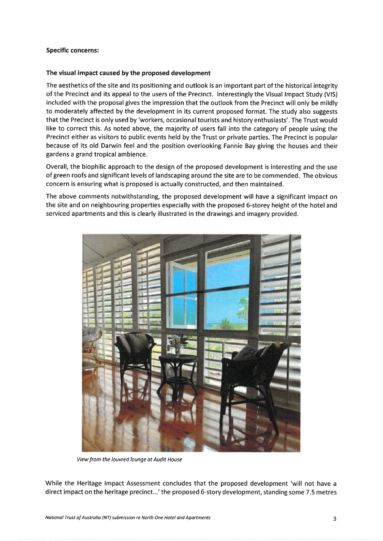## **Specific concerns:**

## The visual impact caused by the proposed development

The aesthetics of the site and its positioning and outlook is an important part of the historical integrity of the Precinct and its appeal to the users of the Precinct. Interestingly the Visual Impact Study (VIS) included with the proposal gives the impression that the outlook from the Precinct will only be mildly to moderately affected by the development in its current proposed format. The study also suggests that the Precinct is only used by 'workers, occasional tourists and history enthusiasts'. The Trust would like to correct this. As noted above, the majority of users fall into the category of people using the Precinct either as visitors to public events held by the Trust or private parties. The Precinct is popular because of its old Darwin feel and the position overlooking Fannie Bay giving the houses and their gardens a grand tropical ambience.

Overall, the biophilic approach to the design of the proposed development is interesting and the use of green roofs and significant levels of landscaping around the site are to be commended. The obvious concern is ensuring what is proposed is actually constructed, and then maintained.

The above comments notwithstanding, the proposed development will have a significant impact on the site and on neighbouring properties especially with the proposed 6-storey height of the hotel and serviced apartments and this is clearly illustrated in the drawings and imagery provided.



View from the louvred lounge at Audit House

While the Heritage Impact Assessment concludes that the proposed development 'will not have a direct impact on the heritage precinct...' the proposed 6-story development, standing some 7.5 metres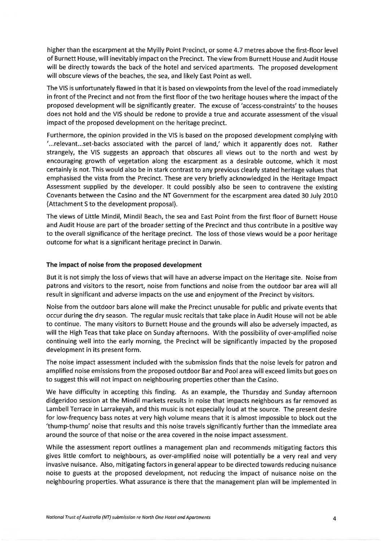higher than the escarpment at the Myilly Point Precinct, or some 4.7 metres above the first-floor level of Burnett House, will inevitably impact on the Precinct. The view from Burnett House and Audit House will be directly towards the back of the hotel and serviced apartments. The proposed development will obscure views of the beaches, the sea, and likely East Point as well.

The VIS is unfortunately flawed in that it is based on viewpoints from the level of the road immediately in front of the Precinct and not from the first floor of the two heritage houses where the impact of the proposed development will be significantly greater. The excuse of 'access-constraints' to the houses does not hold and the VIS should be redone to provide a true and accurate assessment of the visual impact of the proposed development on the heritage precinct.

Furthermore, the opinion provided in the VIS is based on the proposed development complying with "...relevant...set-backs associated with the parcel of land,' which it apparently does not. Rather strangely, the VIS suggests an approach that obscures all views out to the north and west by encouraging growth of vegetation along the escarpment as a desirable outcome, which it most certainly is not. This would also be in stark contrast to any previous clearly stated heritage values that emphasised the vista from the Precinct. These are very briefly acknowledged in the Heritage Impact Assessment supplied by the developer. It could possibly also be seen to contravene the existing Covenants between the Casino and the NT Government for the escarpment area dated 30 July 2010 (Attachment S to the development proposal).

The views of Little Mindil, Mindil Beach, the sea and East Point from the first floor of Burnett House and Audit House are part of the broader setting of the Precinct and thus contribute in a positive way to the overall significance of the heritage precinct. The loss of those views would be a poor heritage outcome for what is a significant heritage precinct in Darwin.

### The impact of noise from the proposed development

But it is not simply the loss of views that will have an adverse impact on the Heritage site. Noise from patrons and visitors to the resort, noise from functions and noise from the outdoor bar area will all result in significant and adverse impacts on the use and enjoyment of the Precinct by visitors.

Noise from the outdoor bars alone will make the Precinct unusable for public and private events that occur during the dry season. The regular music recitals that take place in Audit House will not be able to continue. The many visitors to Burnett House and the grounds will also be adversely impacted, as will the High Teas that take place on Sunday afternoons. With the possibility of over-amplified noise continuing well into the early morning, the Precinct will be significantly impacted by the proposed development in its present form.

The noise impact assessment included with the submission finds that the noise levels for patron and amplified noise emissions from the proposed outdoor Bar and Pool area will exceed limits but goes on to suggest this will not impact on neighbouring properties other than the Casino.

We have difficulty in accepting this finding. As an example, the Thursday and Sunday afternoon didgeridoo session at the Mindil markets results in noise that impacts neighbours as far removed as Lambell Terrace in Larrakeyah, and this music is not especially loud at the source. The present desire for low-frequency bass notes at very high volume means that it is almost impossible to block out the 'thump-thump' noise that results and this noise travels significantly further than the immediate area around the source of that noise or the area covered in the noise impact assessment.

While the assessment report outlines a management plan and recommends mitigating factors this gives little comfort to neighbours, as over-amplified noise will potentially be a very real and very invasive nuisance. Also, mitigating factors in general appear to be directed towards reducing nuisance noise to guests at the proposed development, not reducing the impact of nuisance noise on the neighbouring properties. What assurance is there that the management plan will be implemented in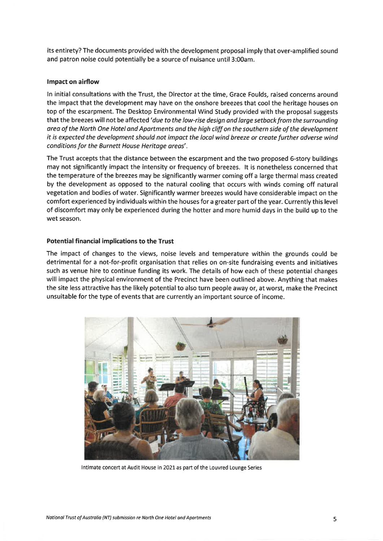its entirety? The documents provided with the development proposal imply that over-amplified sound and patron noise could potentially be a source of nuisance until 3:00am.

### Impact on airflow

In initial consultations with the Trust, the Director at the time, Grace Foulds, raised concerns around the impact that the development may have on the onshore breezes that cool the heritage houses on top of the escarpment. The Desktop Environmental Wind Study provided with the proposal suggests that the breezes will not be affected 'due to the low-rise design and large setback from the surrounding area of the North One Hotel and Apartments and the high cliff on the southern side of the development it is expected the development should not impact the local wind breeze or create further adverse wind conditions for the Burnett House Heritage areas'.

The Trust accepts that the distance between the escarpment and the two proposed 6-story buildings may not significantly impact the intensity or frequency of breezes. It is nonetheless concerned that the temperature of the breezes may be significantly warmer coming off a large thermal mass created by the development as opposed to the natural cooling that occurs with winds coming off natural vegetation and bodies of water. Significantly warmer breezes would have considerable impact on the comfort experienced by individuals within the houses for a greater part of the year. Currently this level of discomfort may only be experienced during the hotter and more humid days in the build up to the wet season.

## **Potential financial implications to the Trust**

The impact of changes to the views, noise levels and temperature within the grounds could be detrimental for a not-for-profit organisation that relies on on-site fundraising events and initiatives such as venue hire to continue funding its work. The details of how each of these potential changes will impact the physical environment of the Precinct have been outlined above. Anything that makes the site less attractive has the likely potential to also turn people away or, at worst, make the Precinct unsuitable for the type of events that are currently an important source of income.



Intimate concert at Audit House in 2021 as part of the Louvred Lounge Series